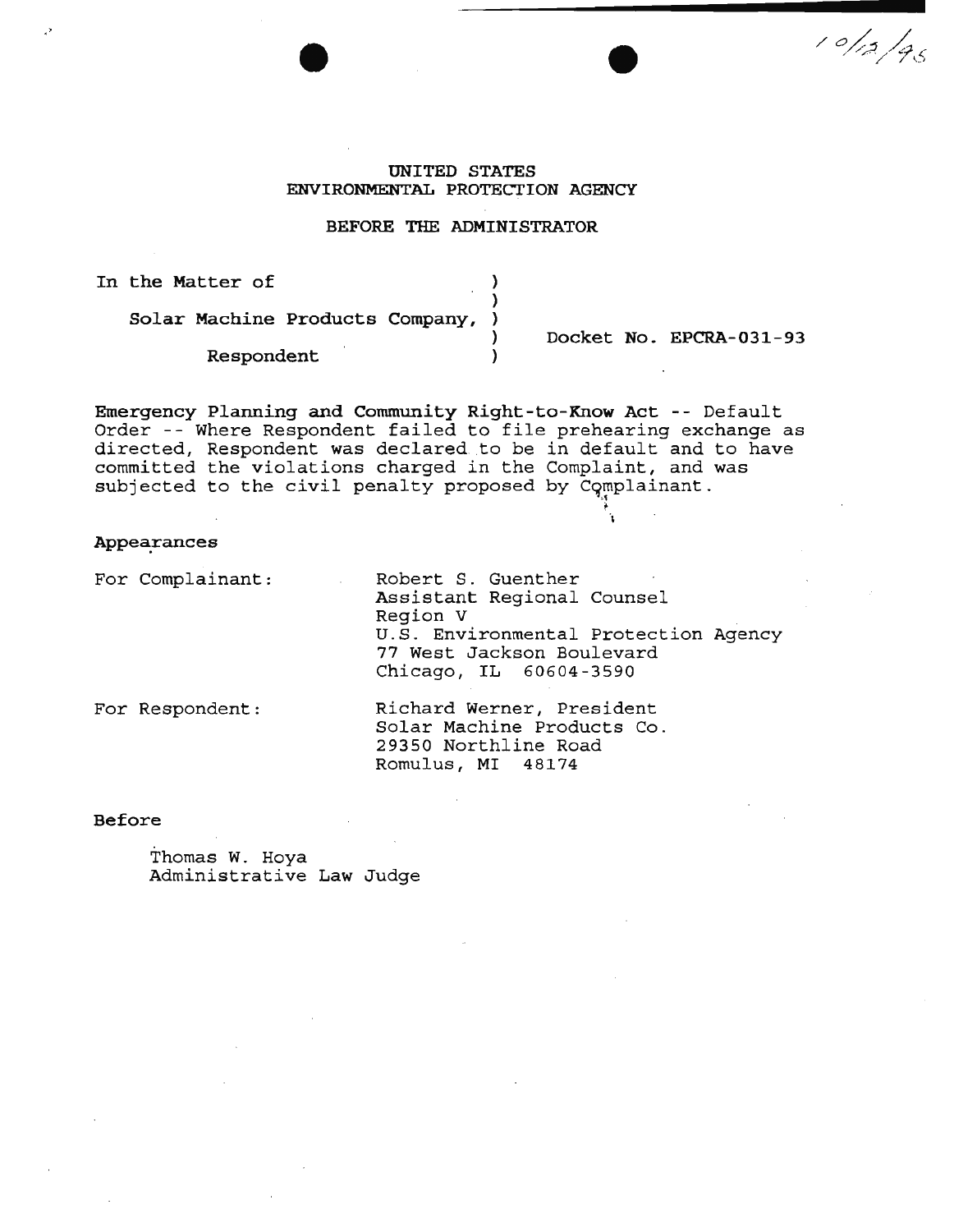# UNITED STATES ENVIRONMENTAL PROTECTION AGENCY

#### BEFORE THE ADMINISTRATOR

)

In the Matter of

Solar Machine Products Company,

Respondent )

) Docket No. EPCRA-031-93

 $10/12/96$ 

Emergency Planning and Community Right-to-Know Act -- Default Order -- Where Respondent failed to file prehearing exchange as directed, Respondent was declared .to be in default and to have committed the violations charged in the Complaint, and was subjected to the civil penalty proposed by Complainant.  $\begin{bmatrix} \cdot \end{bmatrix}$ 

Appearances

For Complainant:

Robert S. Guenther Assistant Regional Counsel Region V U.S. Environmental Protection Agency 77 West Jackson Boulevard Chicago, IL 60604-3590

For Respondent:

Richard Werner, President Solar Machine Products Co. 29350 Northline Road Romulus, MI 48174

Before

Thomas W. Hoya Administrative Law Judge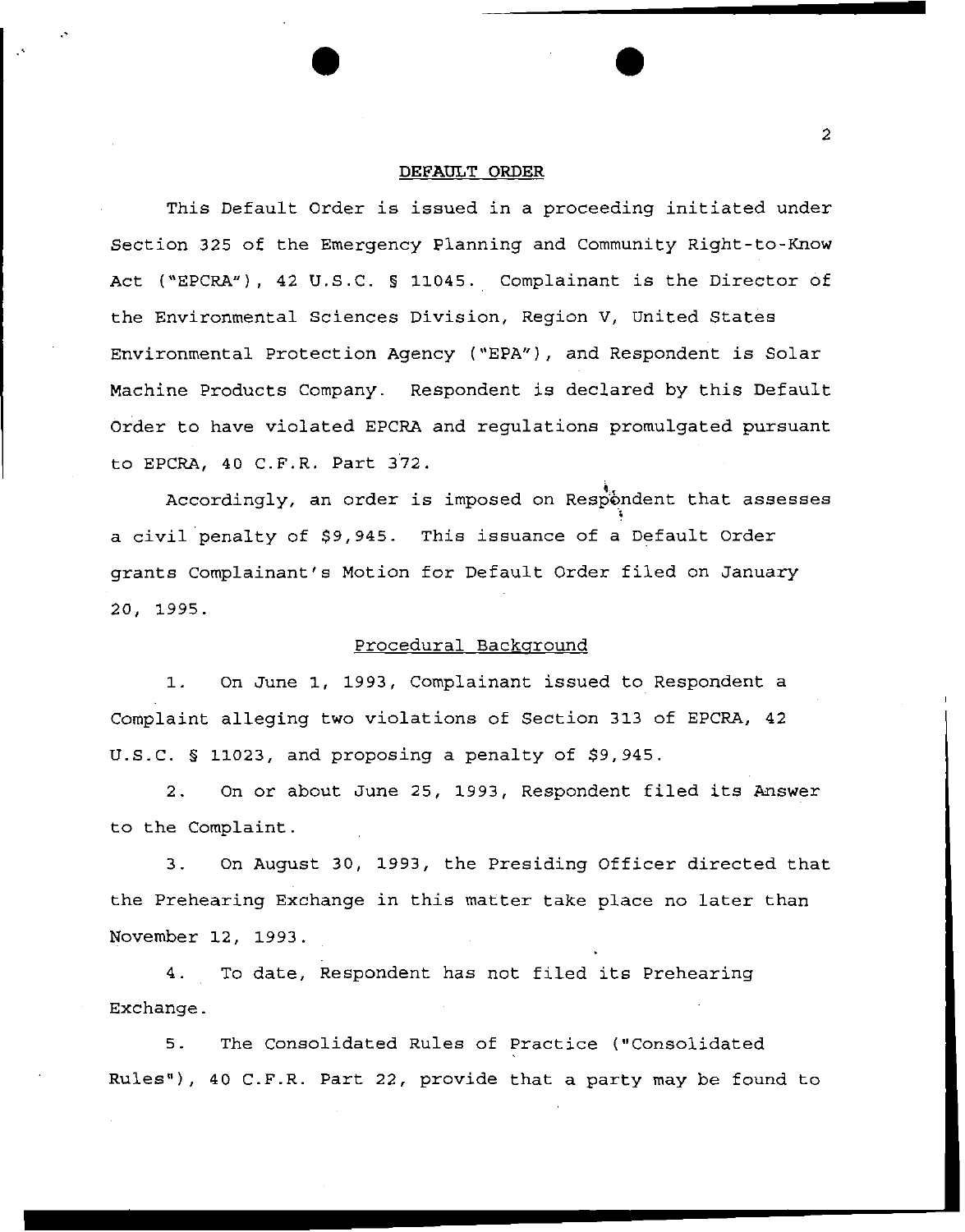#### **DEFAULT ORDER**

This Default Order is issued in a proceeding initiated under Section 325 of the Emergency Planning and Community Right-to-Know Act ("EPCRA"), 42 U.S.C. § 11045. Complainant is the Director of the Environmental Sciences Division, Region V, United States Environmental Protection Agency ("EPA"), and Respondent is Solar Machine Products Company. Respondent is declared by this Default Order to have violated EPCRA and regulations promulgated pursuant to EPCRA, 40 C.F.R. Part 372.

Accordingly, an order is imposed on Respondent that assesses ~ a civil penalty of \$9,945. This issuance of a Default Order grants Complainant's Motion for Default Order filed on January 20, 1995.

#### Procedural Background

1. On June 1, 1993, Complainant issued to Respondent a Complaint alleging two violations of Section 313 of EPCRA, 42 U.S.C. § 11023, and proposing **a** penalty of \$9,945.

2. On or about June 25, 1993, Respondent filed its Answer to the Complaint.

3. On August 30, 1993, the Presiding Officer directed that the Prehearing Exchange in this matter take place no later than November 12, 1993.

4. To date, Respondent has not filed its Prehearing Exchange.

5. The Consolidated Rules of Practice ("Consolidated Rules"), 40 C.F.R. Part 22, provide that a party may be found to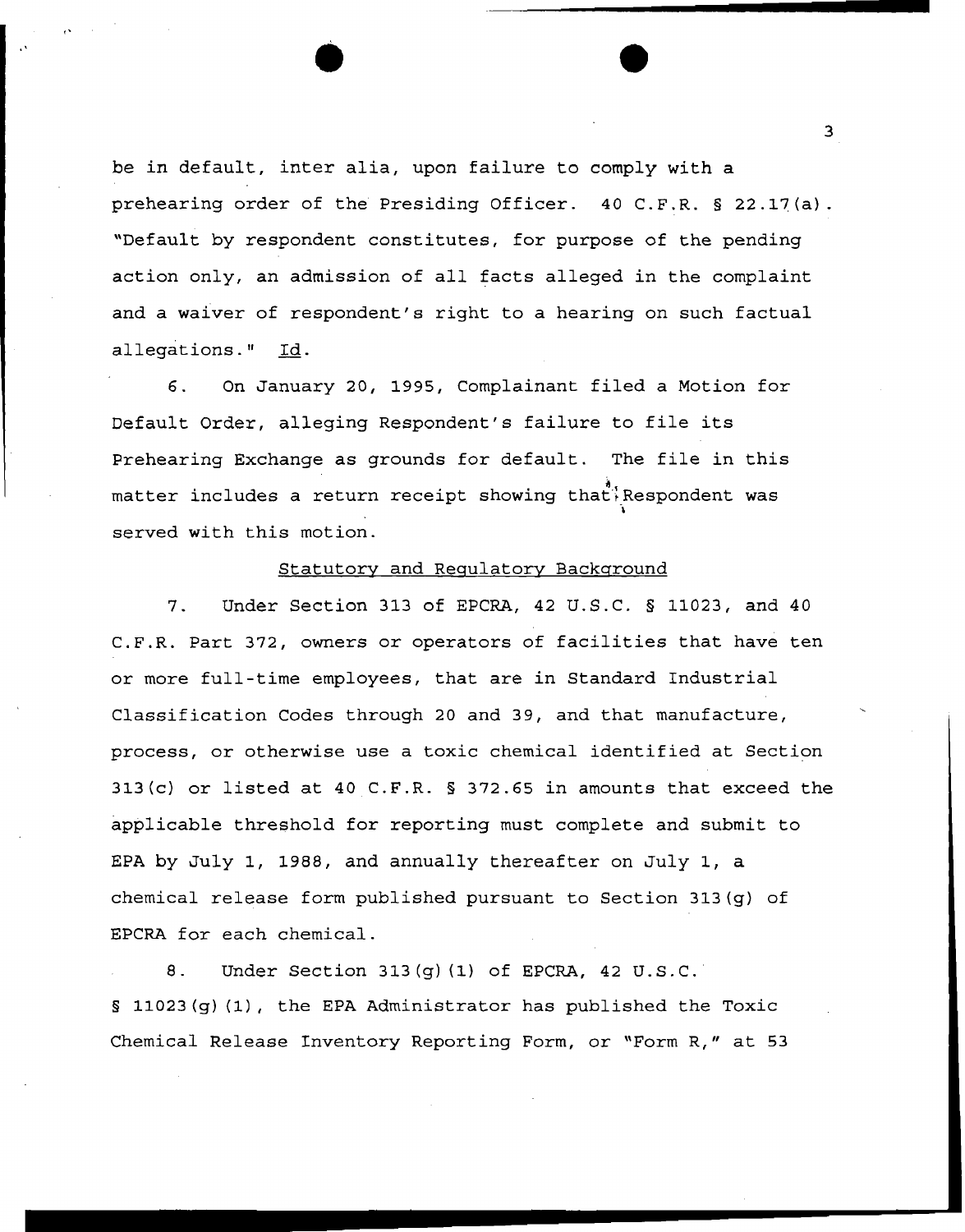be in default, inter alia, upon failure to comply with a prehearing order of the Presiding Officer. 40 C.F.R. § 22.17(a). "Default by respondent constitutes, for purpose of the pending action only, an admission of all facts alleged in the complaint and a waiver of respondent's right to a hearing on such factual allegations." Id.

,,

 $\mathbf{e}^{i\mathbf{e}^{i\mathbf{e}^{i\mathbf{e}^{i\mathbf{e}^{i\mathbf{e}^{i\mathbf{e}^{i\mathbf{e}^{i\mathbf{e}^{i\mathbf{e}^{i\mathbf{e}^{i\mathbf{e}^{i\mathbf{e}^{i\mathbf{e}^{i\mathbf{e}^{i\mathbf{e}^{i\mathbf{e}^{i\mathbf{e}^{i\mathbf{e}^{i\mathbf{e}^{i\mathbf{e}^{i\mathbf{e}^{i\mathbf{e}^{i\mathbf{e}^{i\mathbf{e}^{i\mathbf{e}^{i\mathbf{e}^{i\mathbf{$ 

6. On January 20, 1995, Complainant filed a Motion for Default Order, alleging Respondent's failure to file its Prehearing Exchange as grounds for default. The file in this matter includes a return receipt showing that Respondent was served with this motion.

## Statutory and Regulatory Background

7. Under Section 313 of EPCRA, 42 U.S.C. § 11023, and 40 C.F.R. Part 372, owners or operators of facilities that have ten or more full-time employees, that are in Standard Industrial Classification Codes through 20 and 39, and that manufacture, process, or otherwise use a toxic chemical identified at Section 313(c) or listed at 40 C.F.R. § 372.65 in amounts that exceed the applicable threshold for reporting must complete and submit to EPA by July 1, 1988, and annually thereafter on July 1, a chemical release form published pursuant to Section 313(g} of EPCRA for each chemical.

8. Under Section 313(g) (1} of EPCRA, 42 U.S.C. § 11023{g) (1), the EPA Administrator has published the Toxic Chemical Release Inventory Reporting Form, or "Form R," at 53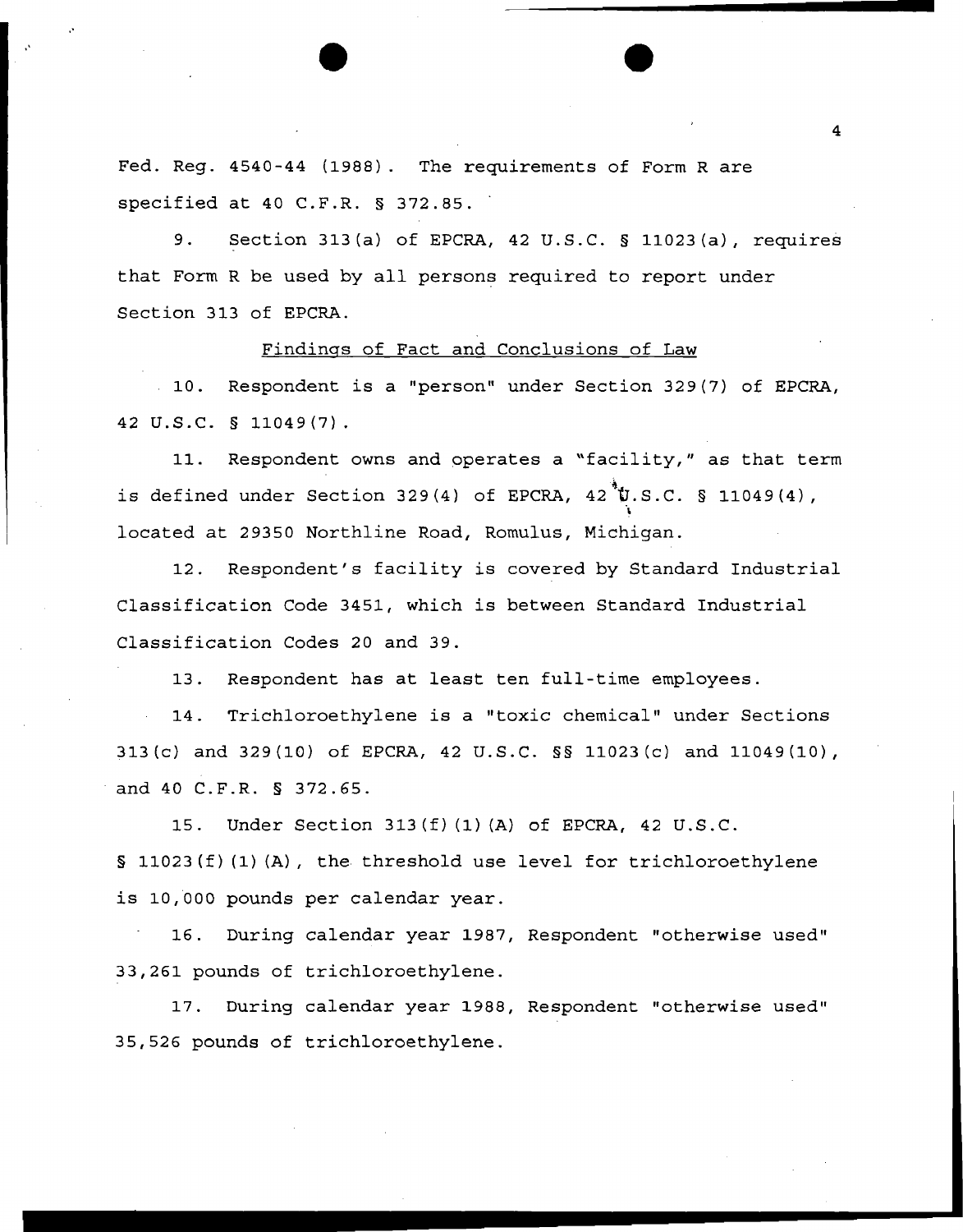Fed. Reg. 4540-44 (1988). The requirements of Form R are specified at 40 C.F.R. § 372.85.

•'

,'

9. Section 313(a) of EPCRA, 42 U.S.C. § 11023(a), requires that Form R be used by all persons required to report under Section 313 of EPCRA.

# Findings of Fact and Conclusions of Law

10. Respondent is a "person" under Section 329(7) of EPCRA, 42 u.s.c. § 11049(7).

11. Respondent owns and operates a "facility," as that term is defined under Section 329(4) of EPCRA,  $42$  U.S.C. § 11049(4), located at 29350 Northline Road, Romulus, Michigan.

12. Respondent's facility is covered by Standard Industrial Classification Code 3451, which is between Standard Industrial Classification Codes 20 and 39.

13. Respondent has at least ten full-time employees.

14. Trichloroethylene is a "toxic chemical" under Sections 313(c) and 329(10) of EPCRA, 42 U.S.C. §§ 11023(c) and 11049(10), and 40 C.F.R. § 372.65.

15. Under Section 313(f) (1) (A) of EPCRA, 42 U.S.C. § 11023(f) (1) {A), the threshold use level for trichloroethylene is 10,000 pounds per calendar year.

16. During calendar year 1987, Respondent "otherwise used" 33,261 pounds of trichloroethylene.

17. During calendar year 1988, Respondent "otherwise used" 35,526 pounds of trichloroethylene.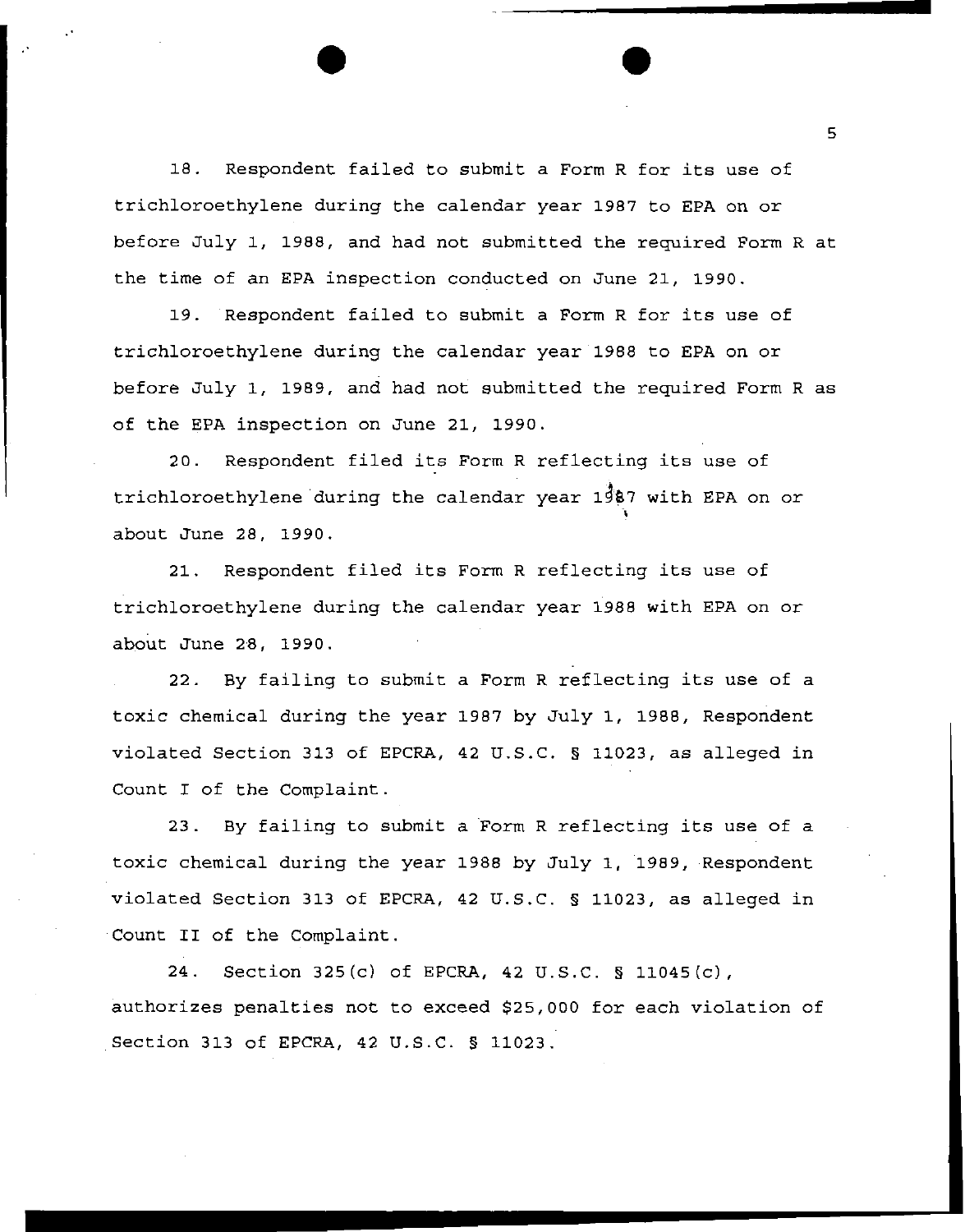18. Respondent failed to submit a Form R for its use of trichloroethylene during the calendar year 1987 to EPA on or before July 1, 1988, and had not submitted the required Form R at the time of an EPA inspection conducted on June 21, 1990.

19. Respondent failed to submit a Form R for its use of trichloroethylene during the calendar year 1988 to EPA on or before July 1, 1989, and had not submitted the required Form R as of the EPA inspection on June 21, 1990.

20. Respondent filed its Form R reflecting its use of trichloroethylene-during the calendar year  $1\overline{3}87$  with EPA on or about June 28, 1990.

21. Respondent filed its Form R reflecting its use of trichloroethylene during the calendar year 1988 with EPA on or about June 28, 1990.

22. By failing to submit a Form R reflecting its use of a toxic chemical during the year 1987 by July 1, 1988, Respondent violated Section 313 of EPCRA, 42 U.S.C. § 11023, as alleged in Count I of the Complaint.

23. By failing to submit a Form R reflecting its use of a toxic chemical during the year 1988 by July 1, 1989, Respondent violated Section 313 of EPCRA, 42 u.s.c. § 11023, as alleged in Count II of the Complaint.

24. Section 325(c) of EPCRA, 42 U.S.C. § 11045(c), authorizes penalties not to exceed \$25,000 for each violation of Section 313 of EPCRA, 42 U.S.C. § 11023.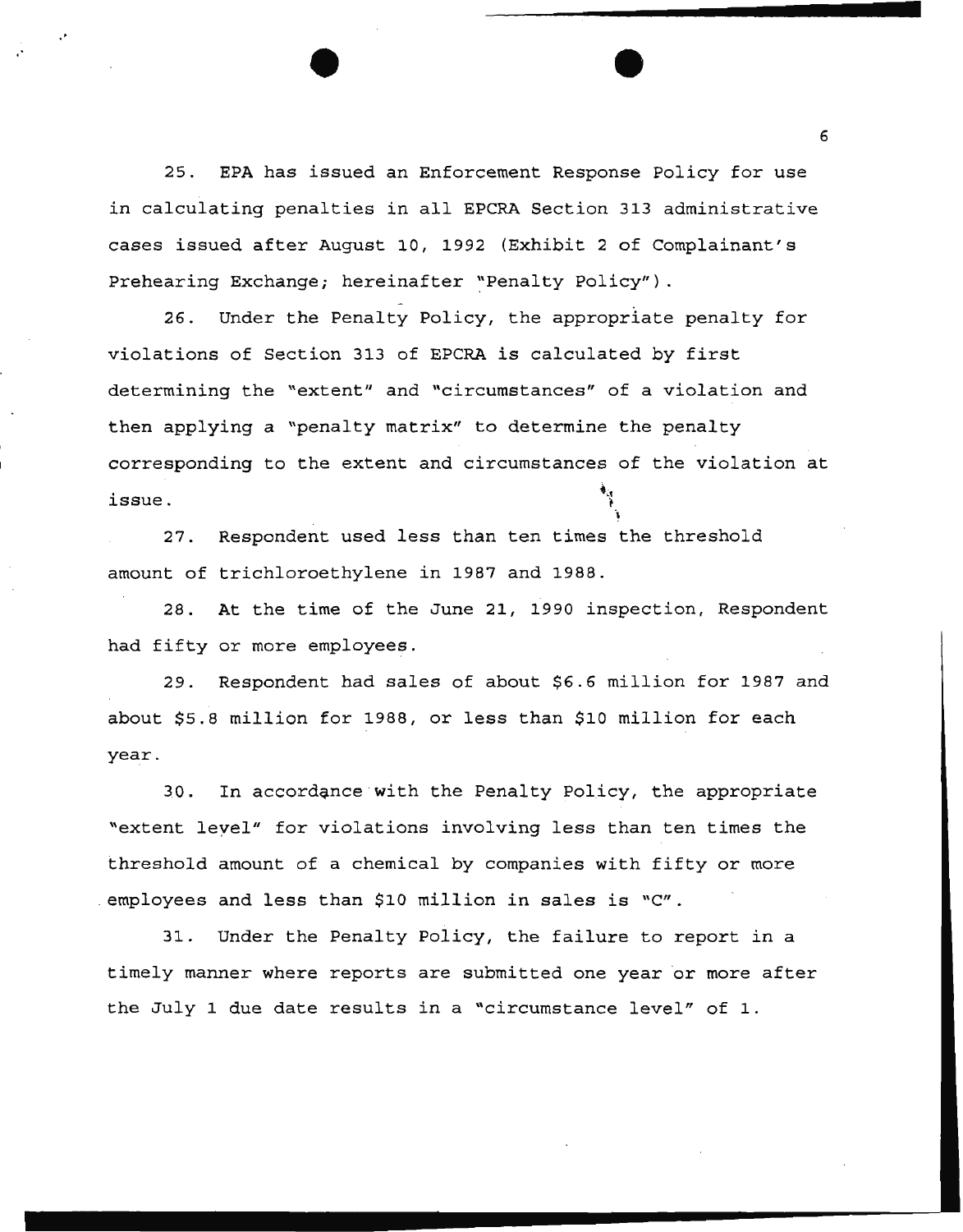25. EPA has issued an Enforcement Response Policy for use in calculating penalties in all EPCRA Section 313 administrative cases issued after August 10, 1992 (Exhibit 2 of Complainant's Prehearing Exchange; hereinafter "Penalty Policy").

•

26. Under the Penalty Policy, the appropriate penalty for violations of Section 313 of EPCRA is calculated by first determining the "extent" and "circumstances" of a violation and then applying a "penalty matrix" to determine the penalty corresponding to the extent and circumstances of the violation at issue.

27. Respondent used less than ten times the threshold amount of trichloroethylene in 1987 and 1988.

28. At the time of the June 21, 1990 inspection, Respondent had fifty or more employees.

29. Respondent had sales of about \$6.6 million for 1987 and about \$5.8 million for 1988, or less than \$10 million for each year.

30. In accordance with the Penalty Policy, the appropriate "extent level" for violations involving less than ten times the threshold amount of a chemical by companies with fifty or more . employees and less than \$10 million in sales is *"Cu.* 

31. Under the Penalty Policy, the failure to report in a timely manner where reports are submitted one year or more after the July 1 due date results in a "circumstance level" of 1.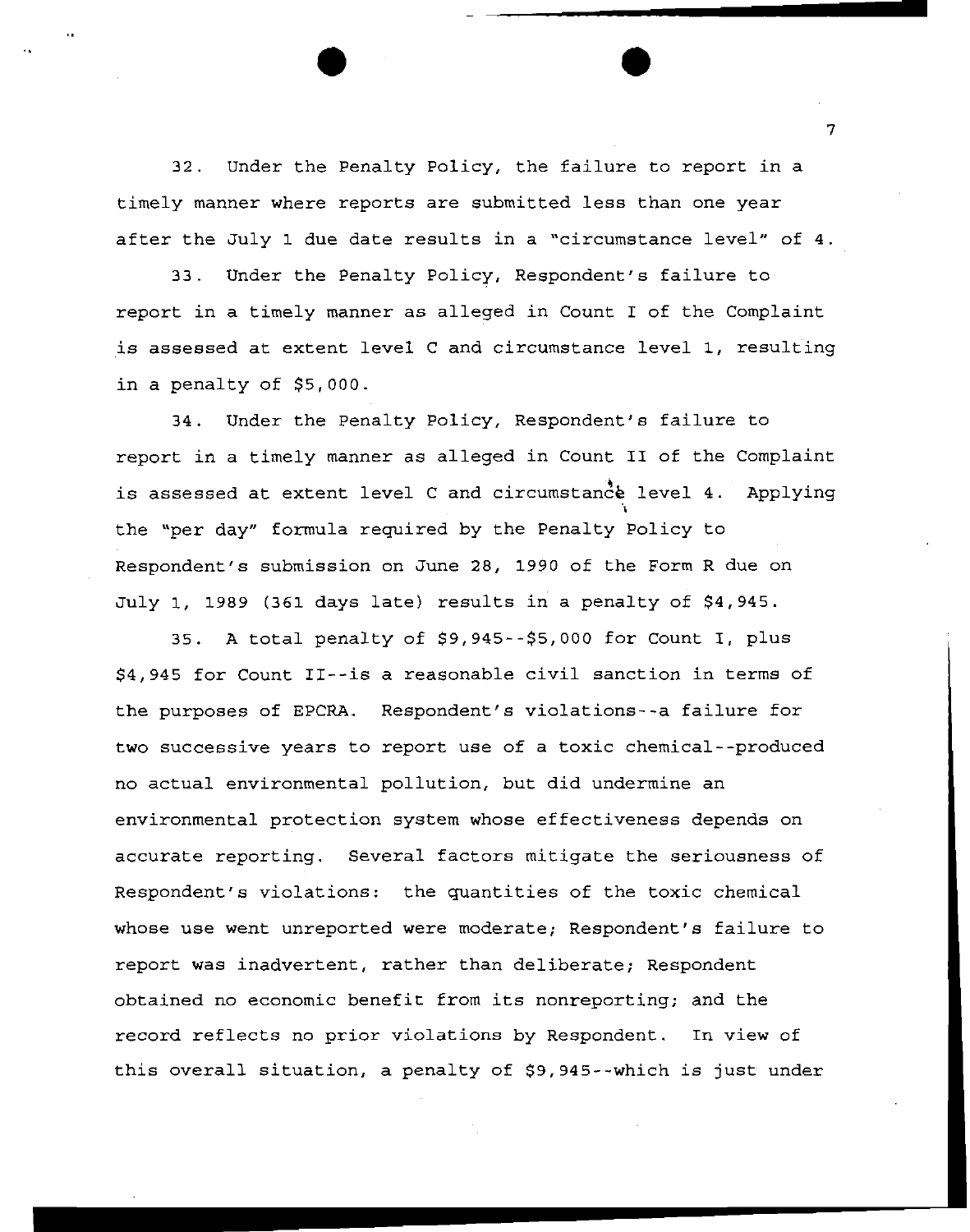32. Under the Penalty Policy, the failure to report in a timely manner where reports are submitted less than one year after the July 1 due date results in a "circumstance level" of 4.

 $\bullet$   $\bullet$ 

33. Under the Penalty Policy, Respondent's failure to report in a timely manner as alleged in Count I of the Complaint is assessed at extent level C and circumstance level 1, resulting in a penalty of \$5,000.

34. Under the Penalty Policy, Respondent's failure to report in a timely manner as alleged in Count II of the Complaint is assessed at extent level C and circumstance level 4. Applying the "per day" formula required by the Penalty Policy to Respondent's submission on June 28, 1990 of the Form R due on July 1, 1989 (361 days late) results in a penalty of \$4,945.

35. A total penalty of \$9,945--\$5,000 for Count I, plus \$4,945 for Count II--is a reasonable civil sanction in terms of the purposes of EPCRA. Respondent's violations--a failure for two successive years to report use of a toxic chemical--produced no actual environmental pollution, but did undermine an environmental protection system whose effectiveness depends on accurate reporting. Several factors mitigate the seriousness of Respondent's violations: the quantities of the toxic chemical whose use went unreported were moderate; Respondent's failure to report was inadvertent, rather than deliberate; Respondent obtained no economic benefit from its nonreporting; and the record reflects no prior violations by Respondent. In view of this overall situation, a penalty of \$9,945--which is just under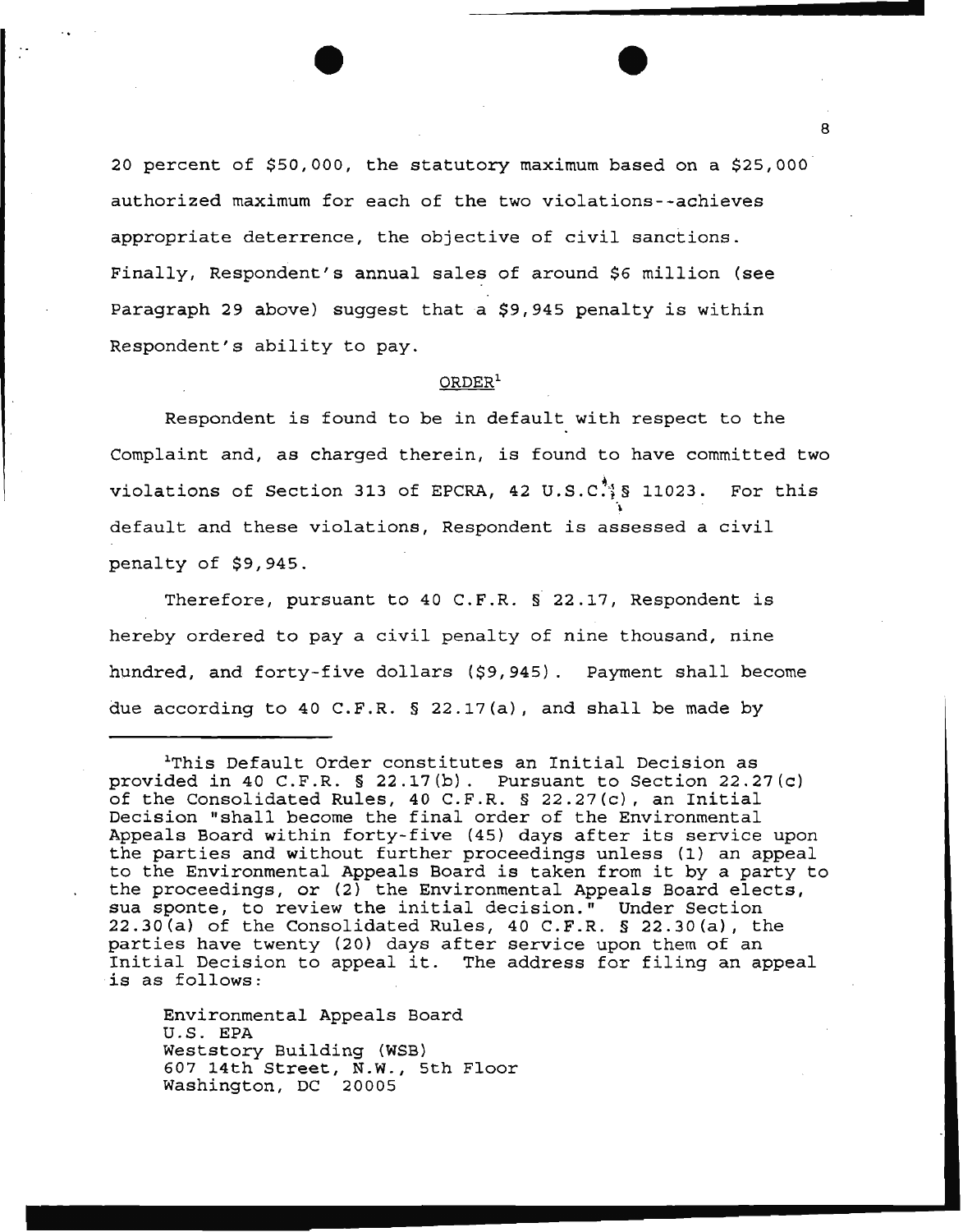20 percent of \$50,000, the statutory maximum based on a \$25,000 authorized maximum for each of the two violations--achieves appropriate deterrence, the objective of civil sanctions. Finally, Respondent's annual sales of around \$6 million (see Paragraph 29 above) suggest that a \$9,945 penalty is within Respondent's ability to pay.

## ORDER<sup>1</sup>

Respondent is found to be in default with respect to the Complaint and, as charged therein, is found to have committed two violations of Section 313 of EPCRA, 42 U.S.C. § 11023. For this ~ default and these violations, Respondent is assessed a civil penalty of \$9,945.

Therefore, pursuant to 40 C.F.R. § 22.17, Respondent is hereby ordered to pay a civil penalty of nine thousand, nine hundred, and forty-five dollars (\$9,945). Payment shall become due according to 40 C.F.R. § 22.17(a), and shall be made by

Environmental Appeals Board U.S. EPA Weststory Building (WSB) 607 14th Street, N.W., 5th Floor Washington, DC 20005

<sup>1</sup>This Default Order constitutes an Initial Decision as provided in 40 C.F.R. § 22.17(b). Pursuant to Section 22.27(c) of the Consolidated Rules, 40 C.F.R. § 22.27(c), an Initial Decision "shall become the final order of the Environmental Appeals Board within forty-five (45) days after its service upon the parties and without further proceedings unless (1) an appeal to the Environmental Appeals Board is taken from it by a party to the proceedings, or (2) the Environmental Appeals Board elects, sua sponte, to review the initial decision." Under Section 22.30(a) of the Consolidated Rules, 40 C.F.R. § 22.30(a), the parties have twenty (20) days after service upon them of an Initial Decision to appeal it. The address for filing an appeal is as follows: